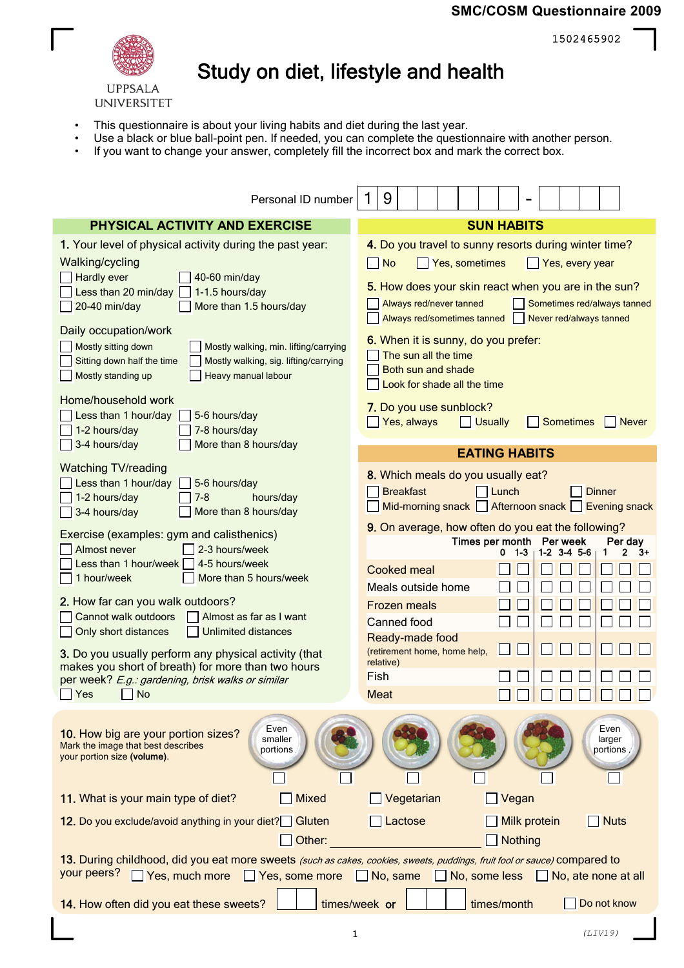## **SMC/COSM Questionnaire 2009**

1502465902



## Study on diet, lifestyle and health

- This questionnaire is about your living habits and diet during the last year.
- Use a black or blue ball-point pen. If needed, you can complete the questionnaire with another person.
- If you want to change your answer, completely fill the incorrect box and mark the correct box.

| Personal ID number                                                                                                                                                                                        | 9                                                                                                                                                                                |  |  |  |  |  |  |
|-----------------------------------------------------------------------------------------------------------------------------------------------------------------------------------------------------------|----------------------------------------------------------------------------------------------------------------------------------------------------------------------------------|--|--|--|--|--|--|
| PHYSICAL ACTIVITY AND EXERCISE                                                                                                                                                                            | <b>SUN HABITS</b>                                                                                                                                                                |  |  |  |  |  |  |
| 1. Your level of physical activity during the past year:                                                                                                                                                  | 4. Do you travel to sunny resorts during winter time?                                                                                                                            |  |  |  |  |  |  |
| Walking/cycling<br>Hardly ever<br>40-60 min/day<br>Less than 20 min/day<br>1-1.5 hours/day<br>20-40 min/day<br>More than 1.5 hours/day                                                                    | Yes, sometimes<br><b>No</b><br>Yes, every year<br>$\mathsf{L}$<br>5. How does your skin react when you are in the sun?<br>Always red/never tanned<br>Sometimes red/always tanned |  |  |  |  |  |  |
| Daily occupation/work<br>Mostly sitting down<br>Mostly walking, min. lifting/carrying<br>Sitting down half the time<br>Mostly walking, sig. lifting/carrying<br>Heavy manual labour<br>Mostly standing up | Always red/sometimes tanned<br>Never red/always tanned<br>6. When it is sunny, do you prefer:<br>The sun all the time<br>Both sun and shade<br>Look for shade all the time       |  |  |  |  |  |  |
| Home/household work<br>Less than 1 hour/day<br>5-6 hours/day<br>1-2 hours/day<br>7-8 hours/day<br>3-4 hours/day<br>More than 8 hours/day                                                                  | 7. Do you use sunblock?<br>Yes, always<br><b>Sometimes</b><br><b>Never</b><br><b>Usually</b>                                                                                     |  |  |  |  |  |  |
|                                                                                                                                                                                                           | <b>EATING HABITS</b>                                                                                                                                                             |  |  |  |  |  |  |
| <b>Watching TV/reading</b><br>Less than 1 hour/day<br>5-6 hours/day<br>1-2 hours/day<br>$7-8$<br>hours/day<br>More than 8 hours/day<br>3-4 hours/day                                                      | 8. Which meals do you usually eat?<br><b>Breakfast</b><br><b>Dinner</b><br>l Lunch<br>Mid-morning snack   Afternoon snack   Evening snack                                        |  |  |  |  |  |  |
| Exercise (examples: gym and calisthenics)<br>2-3 hours/week<br>Almost never<br>4-5 hours/week<br>Less than 1 hour/week<br>More than 5 hours/week<br>1 hour/week                                           | 9. On average, how often do you eat the following?<br>Times per month<br>Per week<br>Per day<br>$1-2$ 3-4 5-6<br>0 1-3<br>1<br>2<br>3+<br><b>Cooked meal</b>                     |  |  |  |  |  |  |
| 2. How far can you walk outdoors?<br>Cannot walk outdoors<br>Almost as far as I want<br><b>Unlimited distances</b><br>Only short distances                                                                | Meals outside home<br>Frozen meals<br>Canned food<br>Ready-made food                                                                                                             |  |  |  |  |  |  |
| 3. Do you usually perform any physical activity (that<br>makes you short of breath) for more than two hours<br>per week? E.g.: gardening, brisk walks or similar<br>Yes<br><b>No</b>                      | (retirement home, home help,<br>relative)<br>Fish<br>Meat                                                                                                                        |  |  |  |  |  |  |
| Even<br>10. How big are your portion sizes?<br>smaller<br>Mark the image that best describes<br>portions<br>your portion size (volume).                                                                   | Even<br>larger<br>portions                                                                                                                                                       |  |  |  |  |  |  |
| 11. What is your main type of diet?<br><b>Mixed</b>                                                                                                                                                       | Vegetarian<br>Vegan                                                                                                                                                              |  |  |  |  |  |  |
| 12. Do you exclude/avoid anything in your diet? Gluten<br>Other:                                                                                                                                          | <b>Milk protein</b><br>$\Box$ Nuts<br>Lactose<br><b>Nothing</b>                                                                                                                  |  |  |  |  |  |  |
| 13. During childhood, did you eat more sweets (such as cakes, cookies, sweets, puddings, fruit fool or sauce) compared to<br>your peers?<br>Yes, much more<br>Yes, some more No, same                     | $\Box$ No, some less $\Box$ No, ate none at all                                                                                                                                  |  |  |  |  |  |  |
| 14. How often did you eat these sweets?                                                                                                                                                                   | times/month<br>times/week or<br>Do not know                                                                                                                                      |  |  |  |  |  |  |
|                                                                                                                                                                                                           |                                                                                                                                                                                  |  |  |  |  |  |  |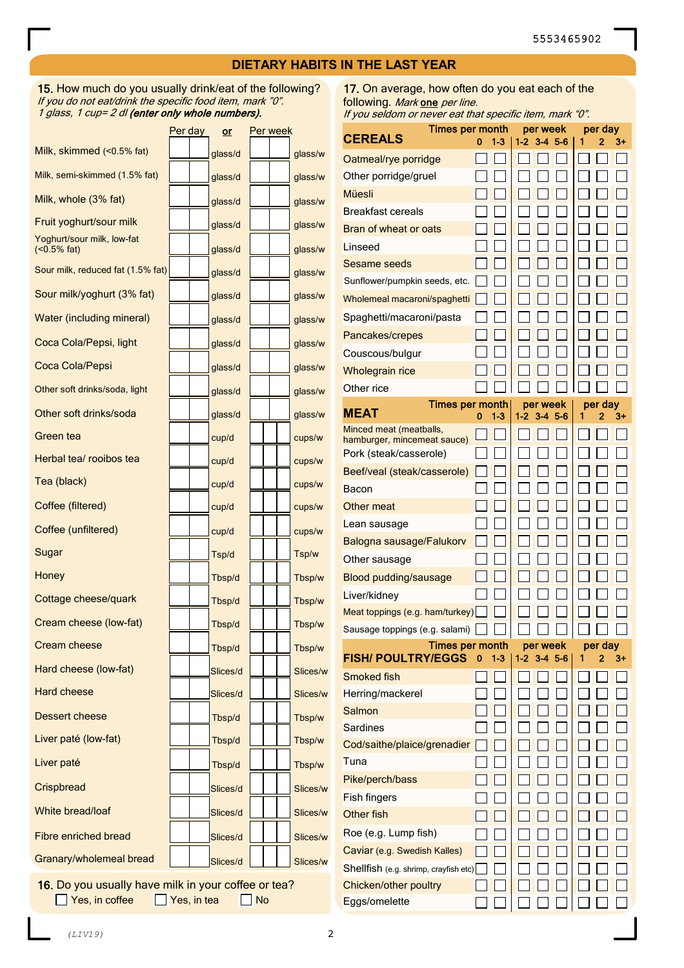## **DIETARY HABITS IN THE LAST YEAR**

15. How much do you usually drink/eat of the following? If you do not eat/drink the specific food item, mark "0". 1 glass, 1 cup= 2 dl (enter only whole numbers).

|                                              | Per day | $or$     | Per week |          |
|----------------------------------------------|---------|----------|----------|----------|
| Milk, skimmed (<0.5% fat)                    |         | glass/d  |          | glass/w  |
| Milk, semi-skimmed (1.5% fat)                |         | glass/d  |          | glass/w  |
| Milk, whole (3% fat)                         |         | glass/d  |          | glass/w  |
| Fruit yoghurt/sour milk                      |         | glass/d  |          | glass/w  |
| Yoghurt/sour milk, low-fat<br>$(<0.5\%$ fat) |         | glass/d  |          | glass/w  |
| Sour milk, reduced fat (1.5% fat)            |         | glass/d  |          | glass/w  |
| Sour milk/yoghurt (3% fat)                   |         | glass/d  |          | glass/w  |
| <b>Water (including mineral)</b>             |         | glass/d  |          | glass/w  |
| Coca Cola/Pepsi, light                       |         | glass/d  |          | glass/w  |
| Coca Cola/Pepsi                              |         | glass/d  |          | glass/w  |
| Other soft drinks/soda, light                |         | glass/d  |          | glass/w  |
| Other soft drinks/soda                       |         | glass/d  |          | glass/w  |
| Green tea                                    |         | cup/d    |          | cups/w   |
| Herbal tea/ rooibos tea                      |         | cup/d    |          | cups/w   |
| Tea (black)                                  |         | cup/d    |          | cups/w   |
| Coffee (filtered)                            |         | cup/d    |          | cups/w   |
| Coffee (unfiltered)                          |         | cup/d    |          | cups/w   |
| Sugar                                        |         | Tsp/d    |          | Tsp/w    |
| Honey                                        |         | Tbsp/d   |          | Tbsp/w   |
| Cottage cheese/quark                         |         | Tbsp/d   |          | Tbsp/w   |
| Cream cheese (low-fat)                       |         | Tbsp/d   |          | Tbsp/w   |
| Cream cheese                                 |         | Tbsp/d   |          | Tbsp/w   |
| Hard cheese (low-fat)                        |         | Slices/d |          | Slices/w |
| Hard cheese                                  |         | Slices/d |          | Slices/w |
| Dessert cheese                               |         | Tbsp/d   |          | Tbsp/w   |
| Liver paté (low-fat)                         |         | Tbsp/d   |          | Tbsp/w   |
| Liver paté                                   |         | Tbsp/d   |          | Tbsp/w   |
| Crispbread                                   |         | Slices/d |          | Slices/w |
| White bread/loaf                             |         | Slices/d |          | Slices/w |
| <b>Fibre enriched bread</b>                  |         | Slices/d |          | Slices/w |
| Granary/wholemeal bread                      |         | Slices/d |          | Slices/w |

16. Do you usually have milk in your coffee or tea?  $\Box$  Yes, in coffee  $\Box$  Yes, in tea  $\Box$  No

17. On average, how often do you eat each of the following. Mark one per line. If you seldom or never eat that specific item, mark "0".

| <b>Times per month</b>                                 | per week |       | per day |           |   |         |    |
|--------------------------------------------------------|----------|-------|---------|-----------|---|---------|----|
| <b>CEREALS</b>                                         | o        | 1-3   | $1-2$   | $3-4$ 5-6 | 1 | 2       | 3+ |
| Oatmeal/rye porridge                                   |          |       |         |           |   |         |    |
| Other porridge/gruel                                   |          |       |         |           |   |         |    |
| Müesli                                                 |          |       |         |           |   |         |    |
| Breakfast cereals                                      |          |       |         |           |   |         |    |
| Bran of wheat or oats                                  |          |       |         |           |   |         |    |
| Linseed                                                |          |       |         |           |   |         |    |
| Sesame seeds                                           |          |       |         |           |   |         |    |
| Sunflower/pumpkin seeds, etc.                          |          |       |         |           |   |         |    |
| Wholemeal macaroni/spaghetti                           |          |       |         |           |   |         |    |
| Spaghetti/macaroni/pasta                               |          |       |         |           |   |         |    |
| Pancakes/crepes                                        |          |       |         |           |   |         |    |
| Couscous/bulgur                                        |          |       |         |           |   |         |    |
| <b>Wholegrain rice</b>                                 |          |       |         |           |   |         |    |
| Other rice                                             |          |       |         |           |   |         |    |
| <b>Times per month</b>                                 |          |       |         | per week  |   | per day |    |
| <b>MEAT</b>                                            | o        | $1-3$ | 1-2     | $3-4$ 5-6 | 1 | 2       | 3+ |
| Minced meat (meatballs,<br>hamburger, mincemeat sauce) |          |       |         |           |   |         |    |
| Pork (steak/casserole)                                 |          |       |         |           |   |         |    |
| Beef/veal (steak/casserole)                            |          |       |         |           |   |         |    |
| Bacon                                                  |          |       |         |           |   |         |    |
| Other meat                                             |          |       |         |           |   |         |    |
| Lean sausage                                           |          |       |         |           |   |         |    |
| Balogna sausage/Falukorv                               |          |       |         |           |   |         |    |
| Other sausage                                          |          |       |         |           |   |         |    |
| Blood pudding/sausage                                  |          |       |         |           |   |         |    |
| Liver/kidney                                           |          |       |         |           |   |         |    |
| Meat toppings (e.g. ham/turkey)                        |          |       |         |           |   |         |    |
| Sausage toppings (e.g. salami)                         |          |       |         |           |   |         |    |
| Times per month                                        |          |       |         | per week  |   | per day |    |
| <b>FISH/ POULTRY/EGGS</b>                              | 0        | 13    | $1-2$   | $3-4$ 5-6 |   | 2       | 3+ |
| Smoked fish                                            |          |       |         |           |   |         |    |
| Herring/mackerel                                       |          |       |         |           |   |         |    |
| Salmon                                                 |          |       |         |           |   |         |    |
| Sardines                                               |          |       |         |           |   |         |    |
| Cod/saithe/plaice/grenadier                            |          |       |         |           |   |         |    |
| Tuna                                                   |          |       |         |           |   |         |    |
| Pike/perch/bass                                        |          |       |         |           |   |         |    |
| Fish fingers                                           |          |       |         |           |   |         |    |
| Other fish                                             |          |       |         |           |   |         |    |
| Roe (e.g. Lump fish)                                   |          |       |         |           |   |         |    |
| Caviar (e.g. Swedish Kalles)                           |          |       |         |           |   |         |    |
| Shellfish (e.g. shrimp, crayfish etc)                  |          |       |         |           |   |         |    |
| Chicken/other poultry                                  |          |       |         |           |   |         |    |
| Eggs/omelette                                          |          |       |         |           |   |         |    |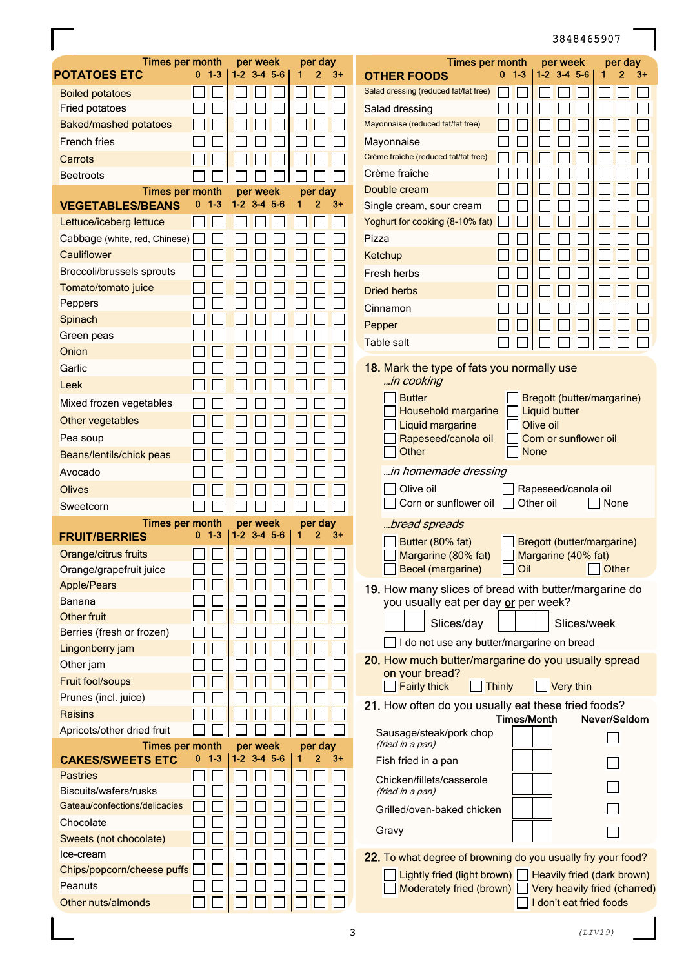## 3848465907

| <b>Times per month</b><br><b>POTATOES ETC</b>          | $0-1-3$      | per week<br>$1 - 2$ $3 - 4$ $5 - 6$ | per day<br>$\overline{2}$<br>$3+$<br>1 | <b>Times per month</b><br>per day<br>per week<br>$0-1-3$<br>$1 - 2$ $3 - 4$ $5 - 6$<br>1<br>2<br>3+<br><b>OTHER FOODS</b> |
|--------------------------------------------------------|--------------|-------------------------------------|----------------------------------------|---------------------------------------------------------------------------------------------------------------------------|
| <b>Boiled potatoes</b>                                 |              |                                     |                                        | Salad dressing (reduced fat/fat free)                                                                                     |
| Fried potatoes                                         |              |                                     |                                        | Salad dressing                                                                                                            |
| Baked/mashed potatoes                                  |              |                                     |                                        | Mayonnaise (reduced fat/fat free)                                                                                         |
| <b>French fries</b>                                    |              |                                     |                                        | Mayonnaise                                                                                                                |
| Carrots                                                |              |                                     |                                        | Crème fraîche (reduced fat/fat free)                                                                                      |
| <b>Beetroots</b>                                       |              |                                     |                                        | Crème fraîche                                                                                                             |
| <b>Times per month</b>                                 |              | per week                            | per day                                | Double cream                                                                                                              |
| <b>VEGETABLES/BEANS</b>                                | $1 - 3$<br>0 | $1-2$ 3-4 5-6                       | $3+$<br>$\mathbf{2}$                   | Single cream, sour cream                                                                                                  |
| Lettuce/iceberg lettuce                                |              |                                     |                                        | Yoghurt for cooking (8-10% fat)                                                                                           |
| Cabbage (white, red, Chinese)                          |              |                                     |                                        | Pizza                                                                                                                     |
| Cauliflower                                            |              |                                     |                                        | Ketchup                                                                                                                   |
| Broccoli/brussels sprouts                              |              |                                     |                                        | Fresh herbs                                                                                                               |
| Tomato/tomato juice                                    |              |                                     |                                        | <b>Dried herbs</b>                                                                                                        |
| Peppers                                                |              |                                     |                                        | Cinnamon                                                                                                                  |
| Spinach                                                |              |                                     |                                        | Pepper                                                                                                                    |
| Green peas                                             |              |                                     |                                        | Table salt                                                                                                                |
| Onion                                                  |              |                                     |                                        |                                                                                                                           |
| Garlic                                                 |              |                                     |                                        | 18. Mark the type of fats you normally use                                                                                |
| Leek                                                   |              |                                     |                                        | in cooking                                                                                                                |
| Mixed frozen vegetables                                |              |                                     |                                        | <b>Butter</b><br>Bregott (butter/margarine)                                                                               |
| Other vegetables                                       |              |                                     |                                        | <b>Liquid butter</b><br>Household margarine<br>Liquid margarine<br>Olive oil                                              |
| Pea soup                                               |              |                                     |                                        | Rapeseed/canola oil<br>Corn or sunflower oil                                                                              |
| Beans/lentils/chick peas                               |              |                                     |                                        | Other<br><b>None</b>                                                                                                      |
| Avocado                                                |              |                                     |                                        | in homemade dressing                                                                                                      |
| <b>Olives</b>                                          |              |                                     |                                        | Olive oil<br>Rapeseed/canola oil                                                                                          |
| Sweetcorn                                              |              |                                     |                                        | Corn or sunflower oil<br>Other oil<br>None                                                                                |
| Times per month                                        |              | per week                            | per day                                | bread spreads                                                                                                             |
| <b>FRUIT/BERRIES</b>                                   | $1 - 3$<br>0 | $1 - 2$ $3 - 4$ $5 - 6$             | $\mathbf{2}$<br>$3+$<br>1              | Butter (80% fat)<br>Bregott (butter/margarine)                                                                            |
| Orange/citrus fruits                                   |              |                                     |                                        | Margarine (80% fat)<br>Margarine (40% fat)                                                                                |
| Orange/grapefruit juice                                |              |                                     |                                        | Becel (margarine)<br>Oil<br>Other                                                                                         |
| Apple/Pears                                            |              |                                     |                                        | 19. How many slices of bread with butter/margarine do                                                                     |
| Banana                                                 |              |                                     |                                        | you usually eat per day or per week?                                                                                      |
| <b>Other fruit</b>                                     |              |                                     |                                        | Slices/week<br>Slices/day                                                                                                 |
| Berries (fresh or frozen)                              |              |                                     |                                        |                                                                                                                           |
| Lingonberry jam                                        |              |                                     |                                        | I do not use any butter/margarine on bread                                                                                |
| Other jam                                              |              |                                     |                                        | 20. How much butter/margarine do you usually spread<br>on your bread?                                                     |
| Fruit fool/soups                                       |              |                                     |                                        | <b>Fairly thick</b><br>Very thin<br>  Thinly                                                                              |
| Prunes (incl. juice)                                   |              |                                     |                                        | 21. How often do you usually eat these fried foods?                                                                       |
| Raisins                                                |              |                                     |                                        | <b>Times/Month</b><br>Never/Seldom                                                                                        |
| Apricots/other dried fruit                             |              |                                     |                                        | Sausage/steak/pork chop                                                                                                   |
| Times per month                                        |              | per week                            | per day                                | (fried in a pan)                                                                                                          |
| <b>CAKES/SWEETS ETC</b>                                | 0<br>$1 - 3$ | $1 - 2$ $3 - 4$ $5 - 6$             | 2 <sup>2</sup><br>$3+$<br>1            | Fish fried in a pan                                                                                                       |
| <b>Pastries</b>                                        |              |                                     |                                        | Chicken/fillets/casserole                                                                                                 |
| Biscuits/wafers/rusks<br>Gateau/confections/delicacies |              |                                     |                                        | (fried in a pan)                                                                                                          |
|                                                        |              |                                     |                                        | Grilled/oven-baked chicken                                                                                                |
| Chocolate                                              |              |                                     |                                        | Gravy                                                                                                                     |
| Sweets (not chocolate)<br>Ice-cream                    |              |                                     |                                        |                                                                                                                           |
| Chips/popcorn/cheese puffs                             |              |                                     |                                        | 22. To what degree of browning do you usually fry your food?                                                              |
| Peanuts                                                |              |                                     |                                        | Lightly fried (light brown) $\Box$ Heavily fried (dark brown)                                                             |
|                                                        |              |                                     |                                        | Moderately fried (brown) Very heavily fried (charred)                                                                     |
| Other nuts/almonds                                     |              |                                     |                                        | I don't eat fried foods                                                                                                   |